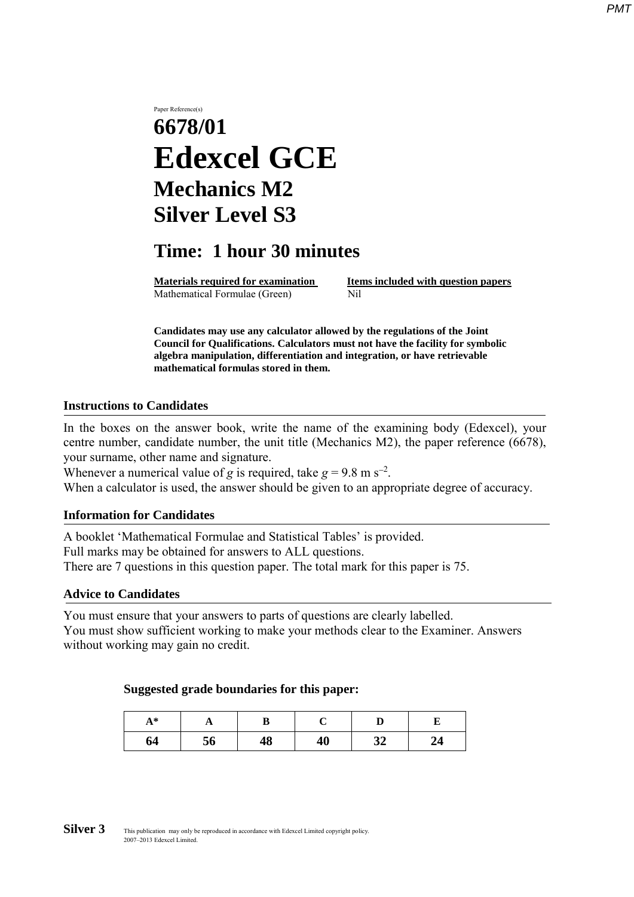# Paper Reference(s) **6678/01 Edexcel GCE Mechanics M2 Silver Level S3**

## **Time: 1 hour 30 minutes**

**Materials required for examination Items included with question papers** Mathematical Formulae (Green)Nil

**Candidates may use any calculator allowed by the regulations of the Joint Council for Qualifications. Calculators must not have the facility for symbolic algebra manipulation, differentiation and integration, or have retrievable mathematical formulas stored in them.**

#### **Instructions to Candidates**

In the boxes on the answer book, write the name of the examining body (Edexcel), your centre number, candidate number, the unit title (Mechanics M2), the paper reference (6678), your surname, other name and signature.

Whenever a numerical value of *g* is required, take  $g = 9.8$  m s<sup>-2</sup>.

When a calculator is used, the answer should be given to an appropriate degree of accuracy.

#### **Information for Candidates**

A booklet 'Mathematical Formulae and Statistical Tables' is provided. Full marks may be obtained for answers to ALL questions. There are 7 questions in this question paper. The total mark for this paper is 75.

#### **Advice to Candidates**

You must ensure that your answers to parts of questions are clearly labelled. You must show sufficient working to make your methods clear to the Examiner. Answers without working may gain no credit.

#### **Suggested grade boundaries for this paper:**

| $A^*$ | . . |    |    |          |    |
|-------|-----|----|----|----------|----|
| 64    | 56  | 48 | 40 | 21<br>34 | 44 |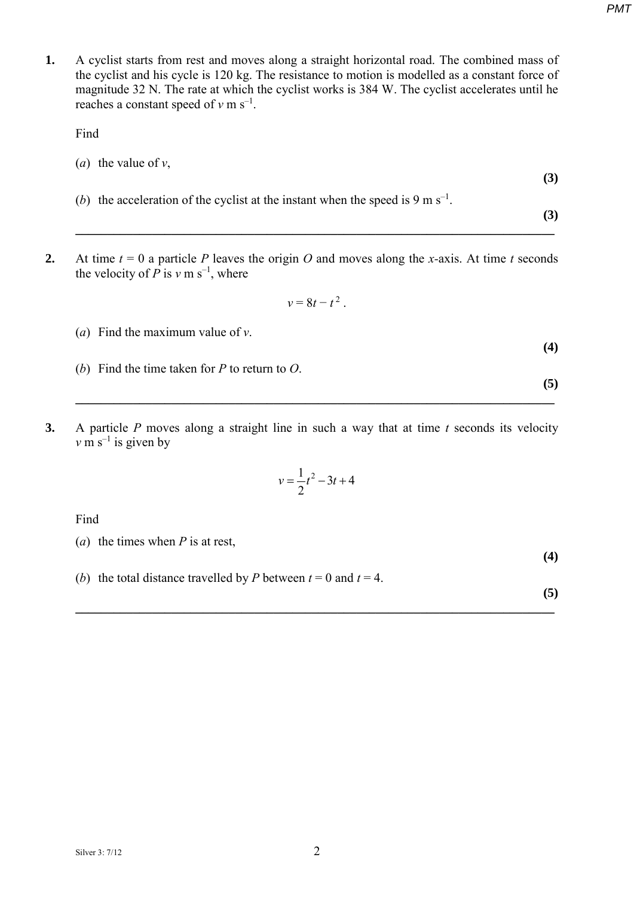**1.** A cyclist starts from rest and moves along a straight horizontal road. The combined mass of the cyclist and his cycle is 120 kg. The resistance to motion is modelled as a constant force of magnitude 32 N. The rate at which the cyclist works is 384 W. The cyclist accelerates until he reaches a constant speed of  $v \text{ m s}^{-1}$ .

Find

- (*a*) the value of *v*, **(3)** (*b*) the acceleration of the cyclist at the instant when the speed is 9 m s<sup>-1</sup>.
	- **(3)**

**(4)**

**(5)**

**(4)**

**2.** At time  $t = 0$  a particle *P* leaves the origin *O* and moves along the *x*-axis. At time *t* seconds the velocity of  $\overline{P}$  is  $v$  m s<sup>-1</sup>, where

$$
v=8t-t^2.
$$

**\_\_\_\_\_\_\_\_\_\_\_\_\_\_\_\_\_\_\_\_\_\_\_\_\_\_\_\_\_\_\_\_\_\_\_\_\_\_\_\_\_\_\_\_\_\_\_\_\_\_\_\_\_\_\_\_\_\_\_\_\_\_\_\_\_\_\_\_\_\_\_\_\_\_\_** 

- (*a*) Find the maximum value of *v*.
- (*b*) Find the time taken for *P* to return to *O*.
- **3.** A particle *P* moves along a straight line in such a way that at time *t* seconds its velocity  $v \text{ m s}^{-1}$  is given by

$$
v = \frac{1}{2}t^2 - 3t + 4
$$

**\_\_\_\_\_\_\_\_\_\_\_\_\_\_\_\_\_\_\_\_\_\_\_\_\_\_\_\_\_\_\_\_\_\_\_\_\_\_\_\_\_\_\_\_\_\_\_\_\_\_\_\_\_\_\_\_\_\_\_\_\_\_\_\_\_\_\_\_\_\_\_\_\_\_\_** 

Find

- (*a*) the times when *P* is at rest,
- (*b*) the total distance travelled by *P* between  $t = 0$  and  $t = 4$ .

**(5) \_\_\_\_\_\_\_\_\_\_\_\_\_\_\_\_\_\_\_\_\_\_\_\_\_\_\_\_\_\_\_\_\_\_\_\_\_\_\_\_\_\_\_\_\_\_\_\_\_\_\_\_\_\_\_\_\_\_\_\_\_\_\_\_\_\_\_\_\_\_\_\_\_\_\_**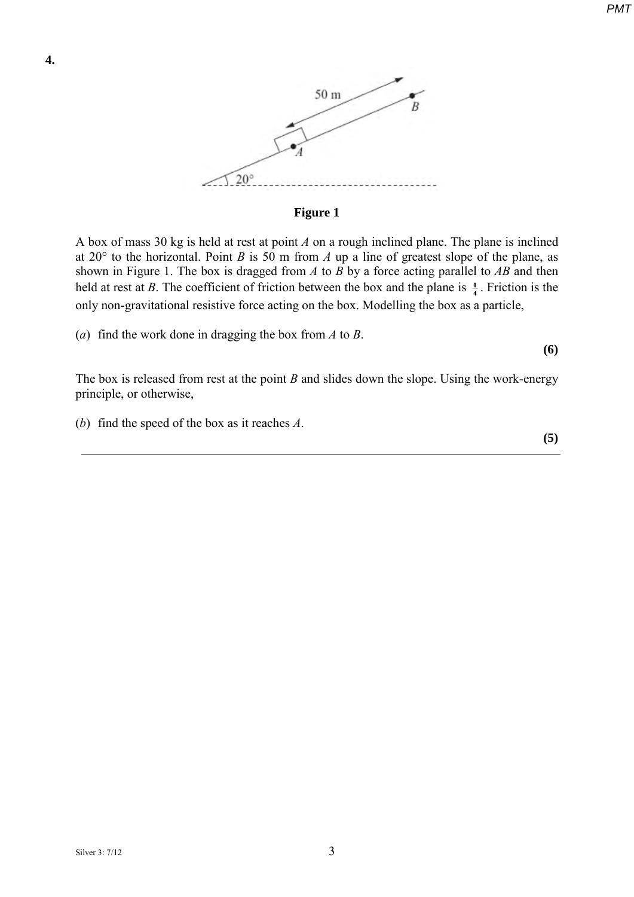

#### **Figure 1**

A box of mass 30 kg is held at rest at point *A* on a rough inclined plane. The plane is inclined at  $20^{\circ}$  to the horizontal. Point *B* is 50 m from *A* up a line of greatest slope of the plane, as shown in Figure 1. The box is dragged from *A* to *B* by a force acting parallel to *AB* and then held at rest at *B*. The coefficient of friction between the box and the plane is  $\frac{1}{4}$ . Friction is the only non-gravitational resistive force acting on the box. Modelling the box as a particle,

(*a*) find the work done in dragging the box from *A* to *B*.

**(6)**

**(5)**

The box is released from rest at the point *B* and slides down the slope. Using the work-energy principle, or otherwise,

(*b*) find the speed of the box as it reaches *A*.

*PMT*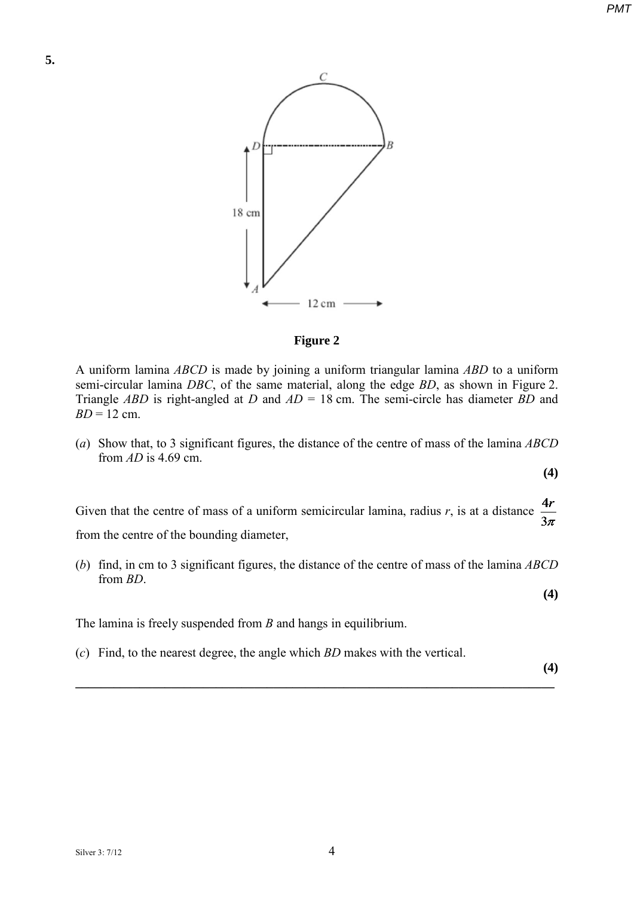

#### **Figure 2**

A uniform lamina *ABCD* is made by joining a uniform triangular lamina *ABD* to a uniform semi-circular lamina *DBC*, of the same material, along the edge *BD*, as shown in Figure 2. Triangle *ABD* is right-angled at *D* and *AD* = 18 cm. The semi-circle has diameter *BD* and *BD* = 12 cm.

(*a*) Show that, to 3 significant figures, the distance of the centre of mass of the lamina *ABCD*  from *AD* is 4.69 cm.

**(4)**

 $4r$ Given that the centre of mass of a uniform semicircular lamina, radius *r*, is at a distance  $3\pi$ from the centre of the bounding diameter,

(*b*) find, in cm to 3 significant figures, the distance of the centre of mass of the lamina *ABCD*  from *BD*.

**\_\_\_\_\_\_\_\_\_\_\_\_\_\_\_\_\_\_\_\_\_\_\_\_\_\_\_\_\_\_\_\_\_\_\_\_\_\_\_\_\_\_\_\_\_\_\_\_\_\_\_\_\_\_\_\_\_\_\_\_\_\_\_\_\_\_\_\_\_\_\_\_\_\_\_** 

**(4)**

The lamina is freely suspended from *B* and hangs in equilibrium.

(*c*) Find, to the nearest degree, the angle which *BD* makes with the vertical.

**(4)**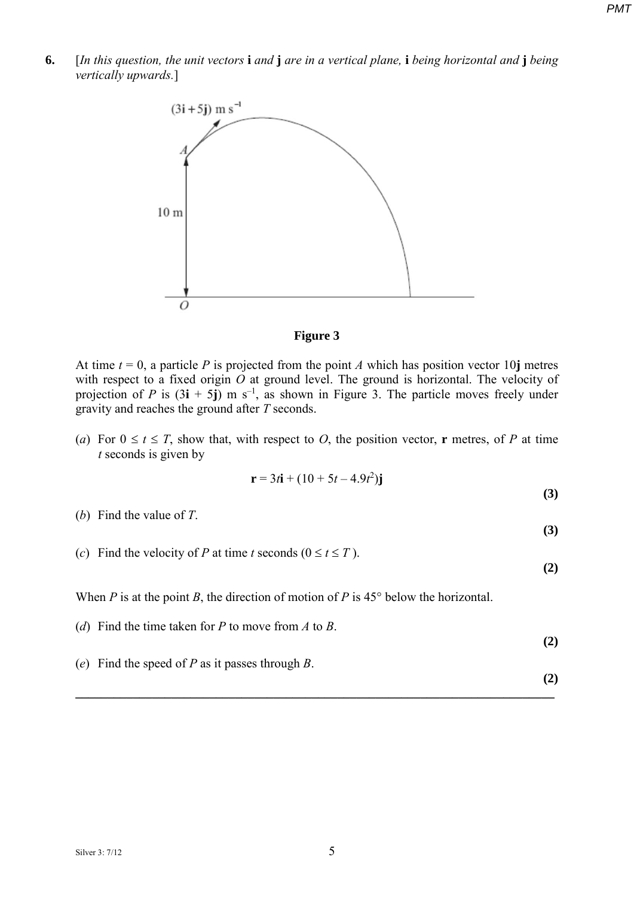**6.** [*In this question, the unit vectors* **i** *and* **j** *are in a vertical plane,* **i** *being horizontal and* **j** *being vertically upwards.*]





At time  $t = 0$ , a particle *P* is projected from the point *A* which has position vector 10**j** metres with respect to a fixed origin *O* at ground level. The ground is horizontal. The velocity of projection of *P* is  $(3\mathbf{i} + 5\mathbf{j})$  m s<sup>-1</sup>, as shown in Figure 3. The particle moves freely under gravity and reaches the ground after *T* seconds.

(*a*) For  $0 \le t \le T$ , show that, with respect to *O*, the position vector, **r** metres, of *P* at time *t* seconds is given by

$$
r = 3t\mathbf{i} + (10 + 5t - 4.9t^2)\mathbf{j}
$$

- (*b*) Find the value of *T*.
- (*c*) Find the velocity of *P* at time *t* seconds  $(0 \le t \le T)$ .

**(2)**

**(2)**

**(3)**

**(3)**

When *P* is at the point *B*, the direction of motion of *P* is  $45^{\circ}$  below the horizontal.

(*d*) Find the time taken for *P* to move from *A* to *B*. **(2)** (*e*) Find the speed of *P* as it passes through *B*.

**\_\_\_\_\_\_\_\_\_\_\_\_\_\_\_\_\_\_\_\_\_\_\_\_\_\_\_\_\_\_\_\_\_\_\_\_\_\_\_\_\_\_\_\_\_\_\_\_\_\_\_\_\_\_\_\_\_\_\_\_\_\_\_\_\_\_\_\_\_\_\_\_\_\_\_**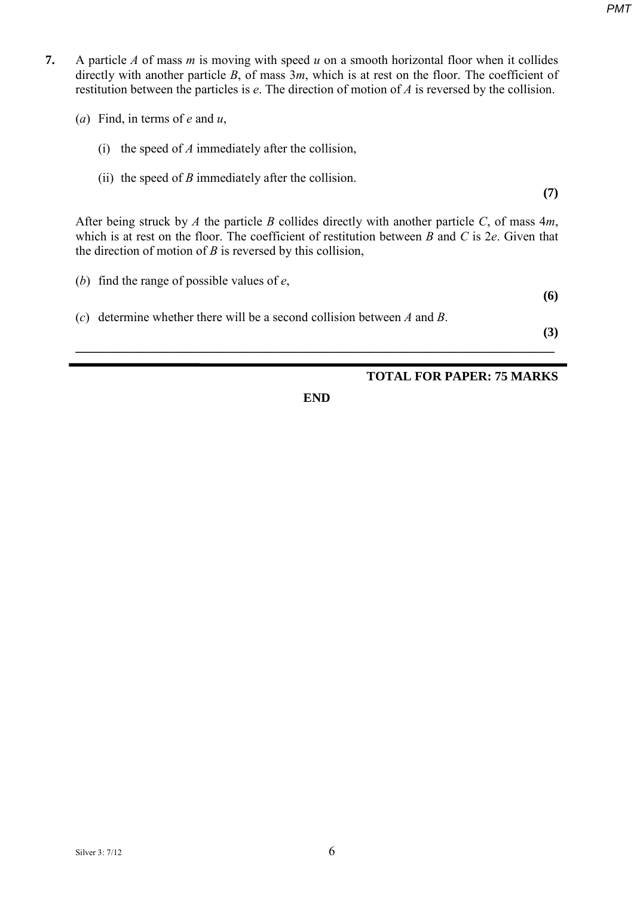- **7.** A particle *A* of mass *m* is moving with speed *u* on a smooth horizontal floor when it collides directly with another particle *B*, of mass 3*m*, which is at rest on the floor. The coefficient of restitution between the particles is *e*. The direction of motion of *A* is reversed by the collision.
	- (*a*) Find, in terms of *e* and *u*,
		- (i) the speed of *A* immediately after the collision,
		- (ii) the speed of  $B$  immediately after the collision.

**(7)**

After being struck by *A* the particle *B* collides directly with another particle *C*, of mass 4*m*, which is at rest on the floor. The coefficient of restitution between *B* and *C* is 2*e*. Given that the direction of motion of *B* is reversed by this collision,

- (*b*) find the range of possible values of *e*,
	-
- (*c*) determine whether there will be a second collision between *A* and *B*.

**(3)**

**(6)**

## **TOTAL FOR PAPER: 75 MARKS**

**END**

**\_\_\_\_\_\_\_\_\_\_\_\_\_\_\_\_\_\_\_\_\_\_\_\_\_\_\_\_\_\_\_\_\_\_\_\_\_\_\_\_\_\_\_\_\_\_\_\_\_\_\_\_\_\_\_\_\_\_\_\_\_\_\_\_\_\_\_\_\_\_\_\_\_\_\_**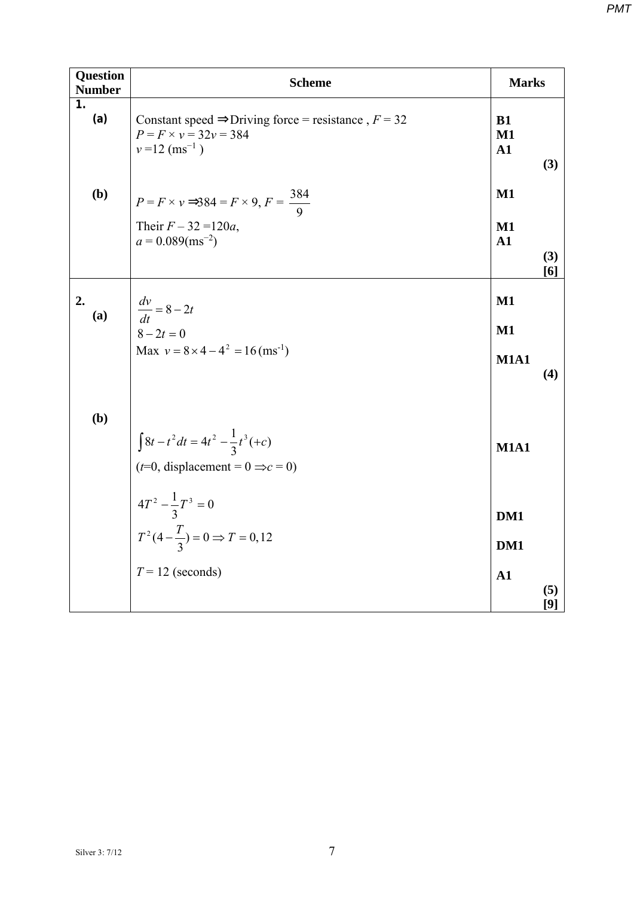| <b>Question</b><br><b>Number</b> | <b>Scheme</b>                                                                                                                     | <b>Marks</b>                                    |              |
|----------------------------------|-----------------------------------------------------------------------------------------------------------------------------------|-------------------------------------------------|--------------|
| 1.<br>(a)                        | Constant speed $\Rightarrow$ Driving force = resistance, $F = 32$<br>$P = F \times v = 32v = 384$<br>$v = 12$ (ms <sup>-1</sup> ) | <b>B1</b><br>$M1$<br>$\mathbf{A1}$              | (3)          |
| (b)                              | $P = F \times v \implies 84 = F \times 9, F = \frac{384}{9}$<br>Their $F - 32 = 120a$ ,<br>$a = 0.089 \text{(ms}^{-2})$           | $\mathbf{M1}$<br>$\mathbf{M1}$<br>$\mathbf{A1}$ |              |
|                                  |                                                                                                                                   |                                                 | (3)<br>[6]   |
| 2.<br>(a)                        |                                                                                                                                   | $M1$                                            |              |
|                                  | $\frac{dv}{dt} = 8 - 2t$<br>$8 - 2t = 0$                                                                                          | $\mathbf{M1}$                                   |              |
|                                  | Max $v = 8 \times 4 - 4^2 = 16 \text{ (ms}^{-1)}$                                                                                 | <b>M1A1</b>                                     | (4)          |
| (b)                              |                                                                                                                                   |                                                 |              |
|                                  | $\int 8t - t^2 dt = 4t^2 - \frac{1}{3}t^3(+c)$                                                                                    | <b>M1A1</b>                                     |              |
|                                  | $(t=0,$ displacement = $0 \Rightarrow c = 0$ )                                                                                    |                                                 |              |
|                                  | $4T^2 - \frac{1}{3}T^3 = 0$<br>$T^2(4 - \frac{T}{3}) = 0 \Rightarrow T = 0,12$                                                    | DM1                                             |              |
|                                  |                                                                                                                                   | DM1                                             |              |
|                                  | $T = 12$ (seconds)                                                                                                                | $\mathbf{A1}$                                   |              |
|                                  |                                                                                                                                   |                                                 | (5)<br>$[9]$ |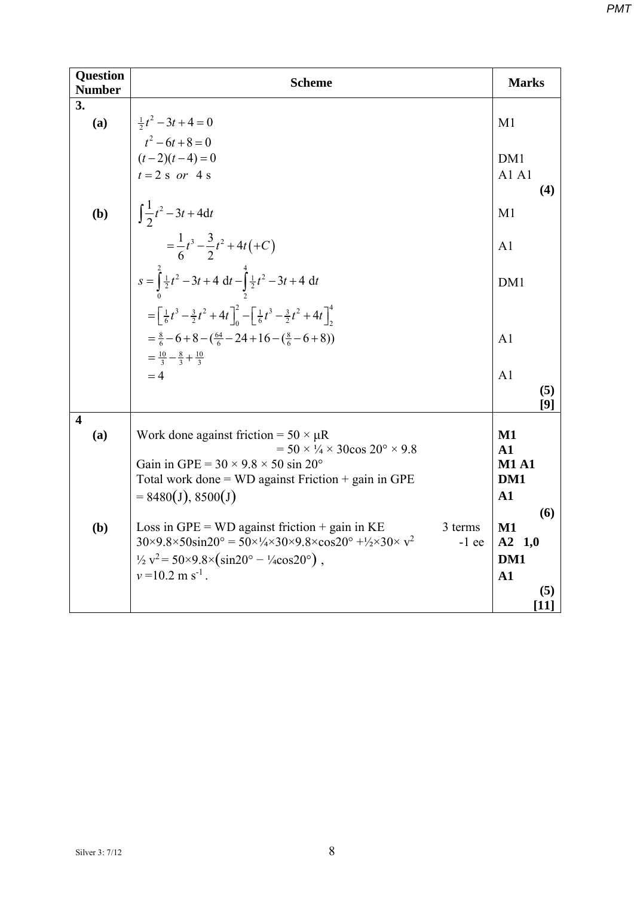| <b>Question</b><br><b>Number</b> | <b>Scheme</b>                                                                                                                                                                                                                                                                                                                     |                                                                   |  |  |  |  |  |
|----------------------------------|-----------------------------------------------------------------------------------------------------------------------------------------------------------------------------------------------------------------------------------------------------------------------------------------------------------------------------------|-------------------------------------------------------------------|--|--|--|--|--|
| 3.<br>(a)                        | $\frac{1}{2}t^2-3t+4=0$                                                                                                                                                                                                                                                                                                           | M1                                                                |  |  |  |  |  |
|                                  | $t^2-6t+8=0$<br>$(t-2)(t-4) = 0$<br>$t = 2$ s or 4 s                                                                                                                                                                                                                                                                              | DM1<br>A1A1<br>(4)                                                |  |  |  |  |  |
| (b)                              | $\int \frac{1}{2}t^2 - 3t + 4dt$                                                                                                                                                                                                                                                                                                  | M1                                                                |  |  |  |  |  |
|                                  | $=\frac{1}{6}t^3-\frac{3}{2}t^2+4t(+C)$                                                                                                                                                                                                                                                                                           | A <sub>1</sub>                                                    |  |  |  |  |  |
|                                  | $s = \int_{0}^{2} \frac{1}{2}t^2 - 3t + 4 dt - \int_{2}^{4} \frac{1}{2}t^2 - 3t + 4 dt$                                                                                                                                                                                                                                           | DM1                                                               |  |  |  |  |  |
|                                  | $=\left[\frac{1}{6}t^3-\frac{3}{2}t^2+4t\right]_0^2-\left[\frac{1}{6}t^3-\frac{3}{2}t^2+4t\right]_2^4$                                                                                                                                                                                                                            |                                                                   |  |  |  |  |  |
|                                  | $=\frac{8}{6}-6+8-(\frac{64}{6}-24+16-(\frac{8}{6}-6+8))$<br>$=\frac{10}{2}-\frac{8}{2}+\frac{10}{2}$                                                                                                                                                                                                                             | A <sub>1</sub>                                                    |  |  |  |  |  |
|                                  | $=4$                                                                                                                                                                                                                                                                                                                              | A <sub>1</sub><br>(5)<br>[9]                                      |  |  |  |  |  |
| $\overline{\mathbf{4}}$<br>(a)   | Work done against friction = $50 \times \mu R$<br>$= 50 \times \frac{1}{4} \times 30 \cos 20^{\circ} \times 9.8$<br>Gain in GPE = $30 \times 9.8 \times 50 \sin 20^\circ$<br>Total work done = $WD$ against Friction + gain in GPE<br>$= 8480(J), 8500(J)$                                                                        | $M1$<br>${\bf A1}$<br><b>M1 A1</b><br>DM1<br>A1<br>(6)            |  |  |  |  |  |
| (b)                              | Loss in $GPE = WD$ against friction + gain in KE<br>3 terms<br>$30\times9.8\times50\sin 20^\circ = 50\times\frac{1}{4}\times30\times9.8\times\cos 20^\circ + \frac{1}{2}\times30\times v^2$<br>$-1$ ee<br>$\frac{1}{2}v^2 = 50 \times 9.8 \times (\sin 20^\circ - \frac{1}{4} \cos 20^\circ)$ ,<br>$v = 10.2$ m s <sup>-1</sup> . | $\mathbf{M1}$<br>$A2 \t1,0$<br>DM1<br>$\mathbf{A1}$<br>(5)<br>111 |  |  |  |  |  |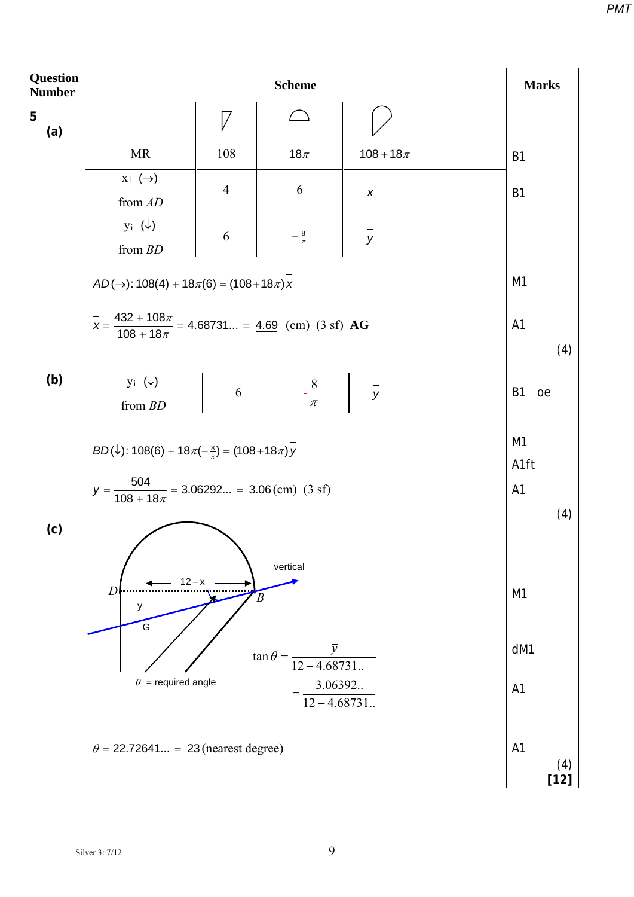| <b>Question</b><br><b>Number</b> | <b>Scheme</b>                                                                            |                                                   |                                                                                                                                   |               |                                 |  |  |  |  |
|----------------------------------|------------------------------------------------------------------------------------------|---------------------------------------------------|-----------------------------------------------------------------------------------------------------------------------------------|---------------|---------------------------------|--|--|--|--|
| 5<br>(a)                         |                                                                                          | 7                                                 |                                                                                                                                   |               |                                 |  |  |  |  |
|                                  | <b>MR</b>                                                                                | 108                                               | 18 $\pi$                                                                                                                          | $108 + 18\pi$ | <b>B1</b>                       |  |  |  |  |
|                                  | $X_i \leftrightarrow$<br>from AD                                                         | $\overline{4}$                                    | 6                                                                                                                                 | $\pmb{\chi}$  | <b>B1</b>                       |  |  |  |  |
|                                  | $y_i(\downarrow)$<br>from $BD$                                                           | 6                                                 | $-\frac{8}{\pi}$                                                                                                                  | $\frac{1}{y}$ |                                 |  |  |  |  |
|                                  | $AD(\rightarrow)$ : 108(4) + 18 $\pi$ (6) = (108+18 $\pi$ ) x                            |                                                   | M <sub>1</sub>                                                                                                                    |               |                                 |  |  |  |  |
|                                  | $\bar{x} = \frac{432 + 108\pi}{108 + 18\pi} = 4.68731 = \frac{4.69}{108}$ (cm) (3 sf) AG |                                                   |                                                                                                                                   |               | A <sub>1</sub><br>(4)           |  |  |  |  |
| (b)                              | $y_i(\downarrow)$<br>from $BD$                                                           |                                                   | $\begin{vmatrix} 6 & \frac{8}{\pi} \end{vmatrix}$ $-\frac{8}{\pi}$ $\begin{vmatrix} -\frac{8}{\pi} & \frac{8}{\pi} \end{vmatrix}$ |               | <b>B1</b><br>oe                 |  |  |  |  |
|                                  | $BD(\downarrow)$ : 108(6) + 18 $\pi(-\frac{8}{\pi})$ = (108+18 $\pi$ ) y                 |                                                   | M <sub>1</sub><br>A1ft<br>A <sub>1</sub>                                                                                          |               |                                 |  |  |  |  |
|                                  |                                                                                          |                                                   | $\overline{y}$ = $\frac{504}{108 + 18\pi}$ = 3.06292 = 3.06(cm) (3 sf)                                                            |               |                                 |  |  |  |  |
| (c)                              | $12 - \bar{x}$<br>D<br>y<br>G                                                            |                                                   | vertical<br>B                                                                                                                     |               | (4)<br>M1                       |  |  |  |  |
|                                  | $\theta$ = required angle                                                                | $\tan \theta = \frac{\overline{y}}{12 - 4.68731}$ | dM1<br>A <sub>1</sub>                                                                                                             |               |                                 |  |  |  |  |
|                                  | $\theta$ = 22.72641 = 23 (nearest degree)                                                |                                                   |                                                                                                                                   |               | A <sub>1</sub><br>(4)<br>$[12]$ |  |  |  |  |

*PMT*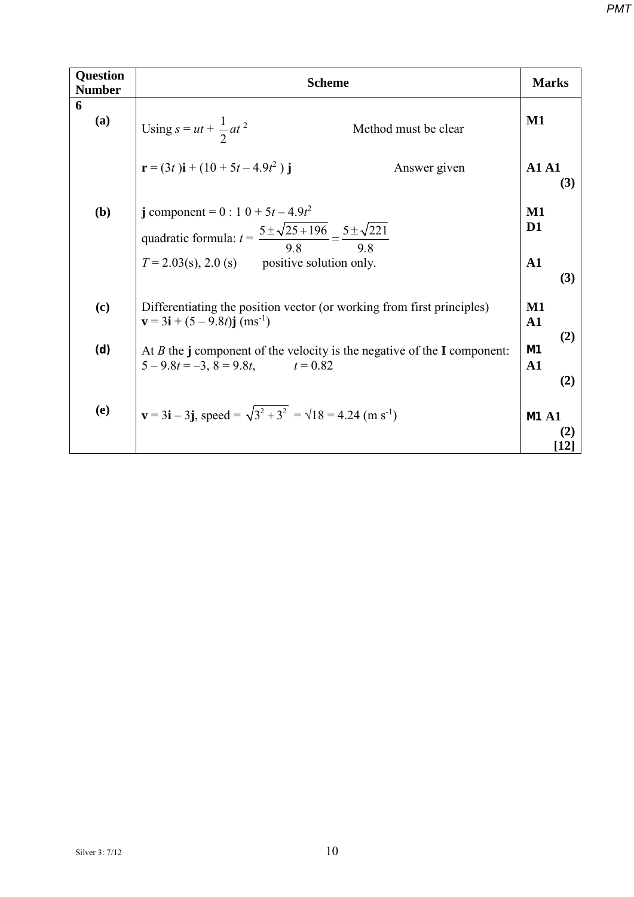| <b>Question</b><br><b>Number</b> | <b>Scheme</b>                                                                                                                                                                                                                                                  |                                                                        |  |  |  |
|----------------------------------|----------------------------------------------------------------------------------------------------------------------------------------------------------------------------------------------------------------------------------------------------------------|------------------------------------------------------------------------|--|--|--|
| 6<br>(a)                         | Using $s = ut + \frac{1}{2}at^2$<br>Method must be clear                                                                                                                                                                                                       | $M1$                                                                   |  |  |  |
| ( <b>b</b> )                     | $\mathbf{r} = (3t)\mathbf{i} + (10 + 5t - 4.9t^2)\mathbf{j}$<br>Answer given<br>j component = $0:10+5t-4.9t^2$<br>quadratic formula: $t = \frac{5 \pm \sqrt{25 + 196}}{9.8} = \frac{5 \pm \sqrt{221}}{9.8}$<br>$T = 2.03(s)$ , 2.0 (s) positive solution only. | A1A1<br>(3)<br>$\mathbf{M1}$<br>D <sub>1</sub><br>$\mathbf{A1}$<br>(3) |  |  |  |
| (c)                              | Differentiating the position vector (or working from first principles)<br>$\mathbf{v} = 3\mathbf{i} + (5 - 9.8t)\mathbf{j}$ (ms <sup>-1</sup> )                                                                                                                | $M1$<br>${\bf A1}$                                                     |  |  |  |
| (d)                              | At $B$ the j component of the velocity is the negative of the I component:<br>$5 - 9.8t = -3$ , $8 = 9.8t$ , $t = 0.82$                                                                                                                                        | (2)<br>M <sub>1</sub><br>$\mathbf{A1}$<br>(2)                          |  |  |  |
| (e)                              | $\mathbf{v} = 3\mathbf{i} - 3\mathbf{j}$ , speed = $\sqrt{3^2 + 3^2} = \sqrt{18} = 4.24 \text{ (m s}^{-1)}$                                                                                                                                                    | <b>M1 A1</b><br>(2)<br>12                                              |  |  |  |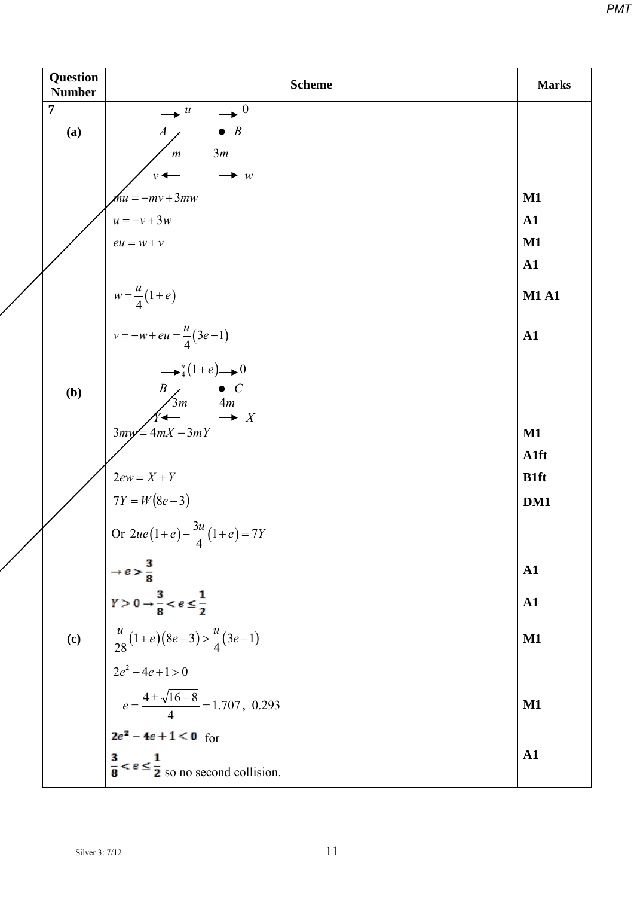| <b>Question</b><br><b>Number</b> | <b>Scheme</b>                                                                                                                                                                                          | <b>Marks</b>  |
|----------------------------------|--------------------------------------------------------------------------------------------------------------------------------------------------------------------------------------------------------|---------------|
| $\overline{7}$                   | $\rightarrow$ <sup>0</sup><br>$\bullet$ u                                                                                                                                                              |               |
| (a)                              | $\bullet$ B<br>$\boldsymbol{A}$                                                                                                                                                                        |               |
|                                  | 3m<br>$\boldsymbol{m}$                                                                                                                                                                                 |               |
|                                  | $\rightarrow$ w<br>$\nu \leftarrow$                                                                                                                                                                    |               |
|                                  | $\mathcal{M}u = -mv + 3mw$                                                                                                                                                                             | $\mathbf{M1}$ |
|                                  | $u = -v + 3w$                                                                                                                                                                                          | ${\bf A1}$    |
|                                  | $eu = w + v$                                                                                                                                                                                           | M1            |
|                                  |                                                                                                                                                                                                        | ${\bf A1}$    |
|                                  | $w = \frac{u}{4}(1+e)$                                                                                                                                                                                 | <b>M1 A1</b>  |
|                                  | $v = -w + eu = \frac{u}{4}(3e-1)$                                                                                                                                                                      | ${\bf A1}$    |
| (b)                              | $\rightarrow \frac{u}{4}(1+e) \rightarrow 0$<br>$\begin{array}{ccc}\nB & & \bullet & C \\ \hline\n3m & & 4m \\ \hline\nY & \rightarrow & X\n\end{array}$                                               |               |
|                                  | $3my = 4mX - 3mY$                                                                                                                                                                                      | $\mathbf{M1}$ |
|                                  |                                                                                                                                                                                                        | A1ft          |
|                                  | $2ew = X + Y$                                                                                                                                                                                          | <b>B1ft</b>   |
|                                  | $7Y = W(8e-3)$                                                                                                                                                                                         | DM1           |
|                                  | Or $2ue(1+e)-\frac{3u}{4}(1+e)=7Y$                                                                                                                                                                     |               |
|                                  |                                                                                                                                                                                                        | ${\bf A1}$    |
|                                  |                                                                                                                                                                                                        | ${\bf A1}$    |
| $\left( \mathbf{c}\right)$       |                                                                                                                                                                                                        | $M1$          |
|                                  |                                                                                                                                                                                                        |               |
|                                  | → $e > \frac{3}{8}$<br>$Y > 0 \rightarrow \frac{3}{8} < e \le \frac{1}{2}$<br>$\frac{u}{28}(1+e)(8e-3) > \frac{u}{4}(3e-1)$<br>$2e^2 - 4e + 1 > 0$<br>$e = \frac{4 \pm \sqrt{16-8}}{4} = 1.707, 0.293$ | $\mathbf{M1}$ |
|                                  | $2e^2 - 4e + 1 < 0$ for                                                                                                                                                                                |               |
|                                  | $\frac{3}{8} < e \le \frac{1}{2}$ so no second collision.                                                                                                                                              | ${\bf A1}$    |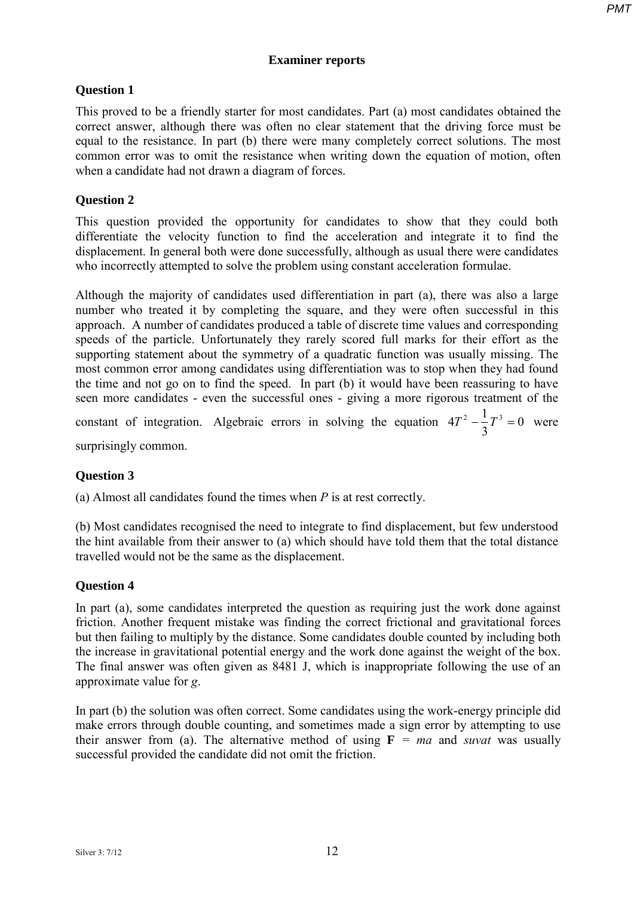## **Examiner reports**

## **Question 1**

This proved to be a friendly starter for most candidates. Part (a) most candidates obtained the correct answer, although there was often no clear statement that the driving force must be equal to the resistance. In part (b) there were many completely correct solutions. The most common error was to omit the resistance when writing down the equation of motion, often when a candidate had not drawn a diagram of forces.

## **Question 2**

This question provided the opportunity for candidates to show that they could both differentiate the velocity function to find the acceleration and integrate it to find the displacement. In general both were done successfully, although as usual there were candidates who incorrectly attempted to solve the problem using constant acceleration formulae.

Although the majority of candidates used differentiation in part (a), there was also a large number who treated it by completing the square, and they were often successful in this approach. A number of candidates produced a table of discrete time values and corresponding speeds of the particle. Unfortunately they rarely scored full marks for their effort as the supporting statement about the symmetry of a quadratic function was usually missing. The most common error among candidates using differentiation was to stop when they had found the time and not go on to find the speed. In part (b) it would have been reassuring to have seen more candidates - even the successful ones - giving a more rigorous treatment of the constant of integration. Algebraic errors in solving the equation  $4T^2 - \frac{1}{2}T^3 = 0$ 3  $4T^2 - \frac{1}{2}T^3 = 0$  were

surprisingly common.

## **Question 3**

(a) Almost all candidates found the times when *P* is at rest correctly.

(b) Most candidates recognised the need to integrate to find displacement, but few understood the hint available from their answer to (a) which should have told them that the total distance travelled would not be the same as the displacement.

## **Question 4**

In part (a), some candidates interpreted the question as requiring just the work done against friction. Another frequent mistake was finding the correct frictional and gravitational forces but then failing to multiply by the distance. Some candidates double counted by including both the increase in gravitational potential energy and the work done against the weight of the box. The final answer was often given as 8481 J, which is inappropriate following the use of an approximate value for *g*.

In part (b) the solution was often correct. Some candidates using the work-energy principle did make errors through double counting, and sometimes made a sign error by attempting to use their answer from (a). The alternative method of using  $\mathbf{F} = ma$  and *suvat* was usually successful provided the candidate did not omit the friction.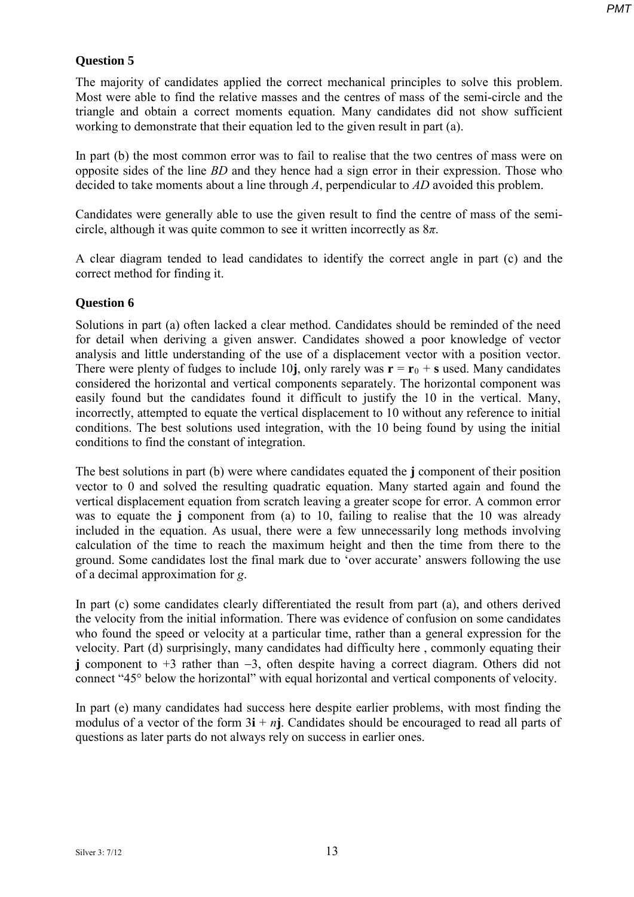## **Question 5**

The majority of candidates applied the correct mechanical principles to solve this problem. Most were able to find the relative masses and the centres of mass of the semi-circle and the triangle and obtain a correct moments equation. Many candidates did not show sufficient working to demonstrate that their equation led to the given result in part (a).

In part (b) the most common error was to fail to realise that the two centres of mass were on opposite sides of the line *BD* and they hence had a sign error in their expression. Those who decided to take moments about a line through *A*, perpendicular to *AD* avoided this problem.

Candidates were generally able to use the given result to find the centre of mass of the semicircle, although it was quite common to see it written incorrectly as 8*π*.

A clear diagram tended to lead candidates to identify the correct angle in part (c) and the correct method for finding it.

## **Question 6**

Solutions in part (a) often lacked a clear method. Candidates should be reminded of the need for detail when deriving a given answer. Candidates showed a poor knowledge of vector analysis and little understanding of the use of a displacement vector with a position vector. There were plenty of fudges to include 10**j**, only rarely was  $\mathbf{r} = \mathbf{r}_0 + \mathbf{s}$  used. Many candidates considered the horizontal and vertical components separately. The horizontal component was easily found but the candidates found it difficult to justify the 10 in the vertical. Many, incorrectly, attempted to equate the vertical displacement to 10 without any reference to initial conditions. The best solutions used integration, with the 10 being found by using the initial conditions to find the constant of integration.

The best solutions in part (b) were where candidates equated the **j** component of their position vector to 0 and solved the resulting quadratic equation. Many started again and found the vertical displacement equation from scratch leaving a greater scope for error. A common error was to equate the **j** component from (a) to 10, failing to realise that the 10 was already included in the equation. As usual, there were a few unnecessarily long methods involving calculation of the time to reach the maximum height and then the time from there to the ground. Some candidates lost the final mark due to 'over accurate' answers following the use of a decimal approximation for *g*.

In part (c) some candidates clearly differentiated the result from part (a), and others derived the velocity from the initial information. There was evidence of confusion on some candidates who found the speed or velocity at a particular time, rather than a general expression for the velocity. Part (d) surprisingly, many candidates had difficulty here , commonly equating their **j** component to +3 rather than −3, often despite having a correct diagram. Others did not connect "45° below the horizontal" with equal horizontal and vertical components of velocity.

In part (e) many candidates had success here despite earlier problems, with most finding the modulus of a vector of the form  $3\mathbf{i} + n\mathbf{j}$ . Candidates should be encouraged to read all parts of questions as later parts do not always rely on success in earlier ones.